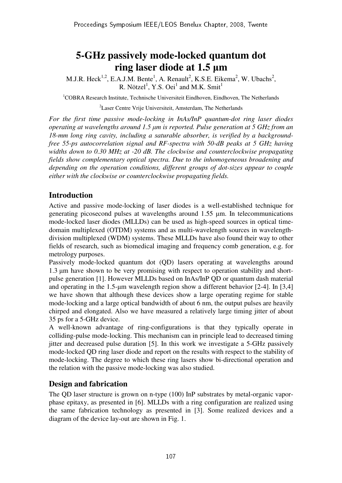# **5-GHz passively mode-locked quantum dot ring laser diode at 1.5** µ**m**

M.J.R. Heck<sup>1,2</sup>, E.A.J.M. Bente<sup>1</sup>, A. Renault<sup>2</sup>, K.S.E. Eikema<sup>2</sup>, W. Ubachs<sup>2</sup>, R. Nötzel<sup>1</sup>, Y.S. Oei<sup>1</sup> and M.K. Smit<sup>1</sup>

<sup>1</sup>COBRA Research Institute, Technische Universiteit Eindhoven, Eindhoven, The Netherlands

<sup>2</sup>Laser Centre Vrije Universiteit, Amsterdam, The Netherlands

*For the first time passive mode-locking in InAs/InP quantum-dot ring laser diodes operating at wavelengths around 1.5* µ*m is reported. Pulse generation at 5 GHz from an 18-mm long ring cavity, including a saturable absorber, is verified by a backgroundfree 55-ps autocorrelation signal and RF-spectra with 50-dB peaks at 5 GHz having widths down to 0.30 MHz at -20 dB. The clockwise and counterclockwise propagating fields show complementary optical spectra. Due to the inhomogeneous broadening and depending on the operation conditions, different groups of dot-sizes appear to couple either with the clockwise or counterclockwise propagating fields.* 

# **Introduction**

Active and passive mode-locking of laser diodes is a well-established technique for generating picosecond pulses at wavelengths around 1.55 µm. In telecommunications mode-locked laser diodes (MLLDs) can be used as high-speed sources in optical timedomain multiplexed (OTDM) systems and as multi-wavelength sources in wavelengthdivision multiplexed (WDM) systems. These MLLDs have also found their way to other fields of research, such as biomedical imaging and frequency comb generation, e.g. for metrology purposes.

Passively mode-locked quantum dot (QD) lasers operating at wavelengths around 1.3 µm have shown to be very promising with respect to operation stability and shortpulse generation [1]. However MLLDs based on InAs/InP QD or quantum dash material and operating in the 1.5-µm wavelength region show a different behavior [2-4]. In [3,4] we have shown that although these devices show a large operating regime for stable mode-locking and a large optical bandwidth of about 6 nm, the output pulses are heavily chirped and elongated. Also we have measured a relatively large timing jitter of about 35 ps for a 5-GHz device.

A well-known advantage of ring-configurations is that they typically operate in colliding-pulse mode-locking. This mechanism can in principle lead to decreased timing jitter and decreased pulse duration [5]. In this work we investigate a 5-GHz passively mode-locked QD ring laser diode and report on the results with respect to the stability of mode-locking. The degree to which these ring lasers show bi-directional operation and the relation with the passive mode-locking was also studied.

# **Design and fabrication**

The QD laser structure is grown on n-type (100) InP substrates by metal-organic vaporphase epitaxy, as presented in [6]. MLLDs with a ring configuration are realized using the same fabrication technology as presented in [3]. Some realized devices and a diagram of the device lay-out are shown in Fig. 1.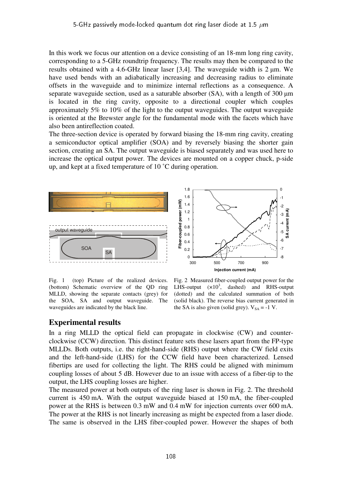In this work we focus our attention on a device consisting of an 18-mm long ring cavity, corresponding to a 5-GHz roundtrip frequency. The results may then be compared to the results obtained with a 4.6-GHz linear laser [3,4]. The waveguide width is  $2 \mu m$ . We have used bends with an adiabatically increasing and decreasing radius to eliminate offsets in the waveguide and to minimize internal reflections as a consequence. A separate waveguide section, used as a saturable absorber (SA), with a length of 300  $\mu$ m is located in the ring cavity, opposite to a directional coupler which couples approximately 5% to 10% of the light to the output waveguides. The output waveguide is oriented at the Brewster angle for the fundamental mode with the facets which have also been antireflection coated.

The three-section device is operated by forward biasing the 18-mm ring cavity, creating a semiconductor optical amplifier (SOA) and by reversely biasing the shorter gain section, creating an SA. The output waveguide is biased separately and was used here to increase the optical output power. The devices are mounted on a copper chuck, p-side up, and kept at a fixed temperature of 10 ˚C during operation.



Fig. 1 (top) Picture of the realized devices. (bottom) Schematic overview of the QD ring MLLD, showing the separate contacts (grey) for the SOA, SA and output waveguide. The waveguides are indicated by the black line.

Fig. 2 Measured fiber-coupled output power for the LHS-output  $(x10^3, \text{dashed})$  and RHS-output (dotted) and the calculated summation of both (solid black). The reverse bias current generated in the SA is also given (solid grey).  $V_{SA} = -1$  V.

## **Experimental results**

In a ring MLLD the optical field can propagate in clockwise (CW) and counterclockwise (CCW) direction. This distinct feature sets these lasers apart from the FP-type MLLDs. Both outputs, i.e. the right-hand-side (RHS) output where the CW field exits and the left-hand-side (LHS) for the CCW field have been characterized. Lensed fibertips are used for collecting the light. The RHS could be aligned with minimum coupling losses of about 5 dB. However due to an issue with access of a fiber-tip to the output, the LHS coupling losses are higher.

The measured power at both outputs of the ring laser is shown in Fig. 2. The threshold current is 450 mA. With the output waveguide biased at 150 mA, the fiber-coupled power at the RHS is between 0.3 mW and 0.4 mW for injection currents over 600 mA. The power at the RHS is not linearly increasing as might be expected from a laser diode. The same is observed in the LHS fiber-coupled power. However the shapes of both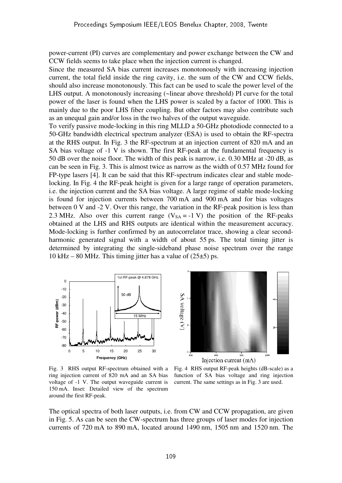power-current (PI) curves are complementary and power exchange between the CW and CCW fields seems to take place when the injection current is changed.

Since the measured SA bias current increases monotonously with increasing injection current, the total field inside the ring cavity, i.e. the sum of the CW and CCW fields, should also increase monotonously. This fact can be used to scale the power level of the LHS output. A monotonously increasing (~linear above threshold) PI curve for the total power of the laser is found when the LHS power is scaled by a factor of 1000. This is mainly due to the poor LHS fiber coupling. But other factors may also contribute such as an unequal gain and/or loss in the two halves of the output waveguide.

To verify passive mode-locking in this ring MLLD a 50-GHz photodiode connected to a 50-GHz bandwidth electrical spectrum analyzer (ESA) is used to obtain the RF-spectra at the RHS output. In Fig. 3 the RF-spectrum at an injection current of 820 mA and an SA bias voltage of -1 V is shown. The first RF-peak at the fundamental frequency is 50 dB over the noise floor. The width of this peak is narrow, i.e. 0.30 MHz at -20 dB, as can be seen in Fig. 3. This is almost twice as narrow as the width of 0.57 MHz found for FP-type lasers [4]. It can be said that this RF-spectrum indicates clear and stable modelocking. In Fig. 4 the RF-peak height is given for a large range of operation parameters, i.e. the injection current and the SA bias voltage. A large regime of stable mode-locking is found for injection currents between 700 mA and 900 mA and for bias voltages between 0 V and -2 V. Over this range, the variation in the RF-peak position is less than 2.3 MHz. Also over this current range  $(V_{SA} = -1 V)$  the position of the RF-peaks obtained at the LHS and RHS outputs are identical within the measurement accuracy. Mode-locking is further confirmed by an autocorrelator trace, showing a clear secondharmonic generated signal with a width of about 55 ps. The total timing jitter is determined by integrating the single-sideband phase noise spectrum over the range 10 kHz – 80 MHz. This timing jitter has a value of  $(25\pm5)$  ps.





Fig. 3 RHS output RF-spectrum obtained with a ring injection current of 820 mA and an SA bias voltage of -1 V. The output waveguide current is 150 mA. Inset: Detailed view of the spectrum around the first RF-peak.

Fig. 4 RHS output RF-peak heights (dB-scale) as a function of SA bias voltage and ring injection current. The same settings as in Fig. 3 are used.

The optical spectra of both laser outputs, i.e. from CW and CCW propagation, are given in Fig. 5. As can be seen the CW-spectrum has three groups of laser modes for injection currents of 720 mA to 890 mA, located around 1490 nm, 1505 nm and 1520 nm. The